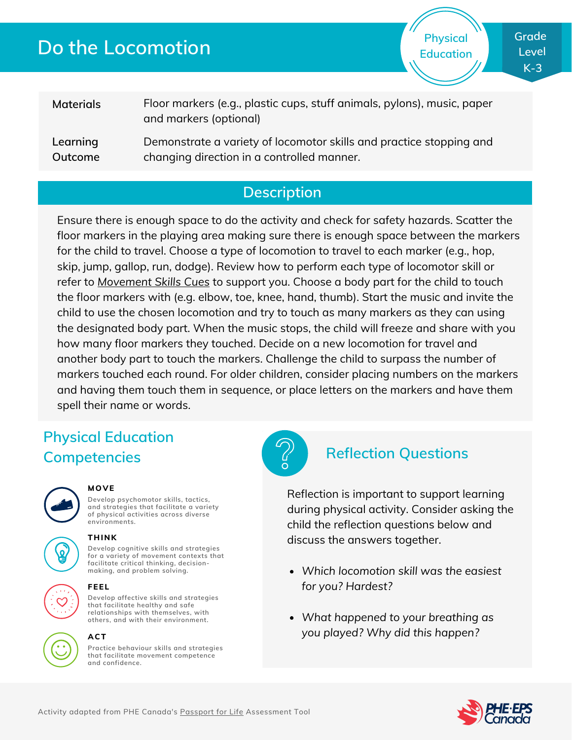# **Do the Locomotion**

**Physical Education** **Grade Level K-3**

| <b>Materials</b> | Floor markers (e.g., plastic cups, stuff animals, pylons), music, paper<br>and markers (optional) |
|------------------|---------------------------------------------------------------------------------------------------|
| Learning         | Demonstrate a variety of locomotor skills and practice stopping and                               |
| Outcome          | changing direction in a controlled manner.                                                        |

## **Description**

Ensure there is enough space to do the activity and check for safety hazards. Scatter the floor markers in the playing area making sure there is enough space between the markers for the child to travel. Choose a type of locomotion to travel to each marker (e.g., hop, skip, jump, gallop, run, dodge). Review how to perform each type of locomotor skill or refer to *[Movement](http://phecanada.ca/movementskillscues) Skills Cues* to support you. Choose a body part for the child to touch the floor markers with (e.g. elbow, toe, knee, hand, thumb). Start the music and invite the child to use the chosen locomotion and try to touch as many markers as they can using the designated body part. When the music stops, the child will freeze and share with you how many floor markers they touched. Decide on a new locomotion for travel and another body part to touch the markers. Challenge the child to surpass the number of markers touched each round. For older children, consider placing numbers on the markers and having them touch them in sequence, or place letters on the markers and have them spell their name or words.

## **Physical Education Competencies Reflection Questions**



### **MOVE**

**Develop psychomotor skills, tactics, and strategies that facilitate a variety of physical activities across diverse environments.**





**THINK**

**Develop cognitive skills and strategies for a variety of movement contexts that facilitate critical thinking, decision making, and problem solving.**

### **FEEL**

**Develop affective skills and strategies that facilitate healthy and safe relationships with themselves, with others, and with their environment.**



#### **Practice behaviour skills and strategies ACT**

**that facilitate movement competence and confidence.**



Reflection is important to support learning during physical activity. Consider asking the child the reflection questions below and discuss the answers together.

- *Which locomotion skill was the easiest for you? Hardest?*
- *What happened to your breathing as you played? Why did this happen?*